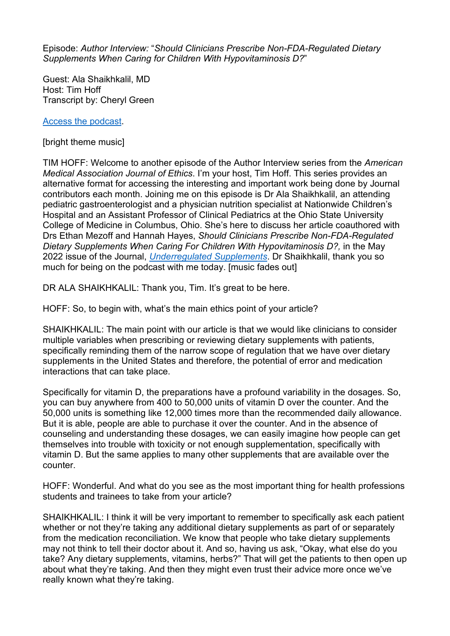Episode: *Author Interview:* "*Should Clinicians Prescribe Non-FDA-Regulated Dietary Supplements When Caring for Children With Hypovitaminosis D?*"

Guest: Ala Shaikhkalil, MD Host: Tim Hoff Transcript by: Cheryl Green

[Access the podcast.](https://journalofethics.ama-assn.org/podcast/author-interview-should-clinicians-prescribe-non-fda-regulated-dietary-supplements-when-caring)

[bright theme music]

TIM HOFF: Welcome to another episode of the Author Interview series from the *American Medical Association Journal of Ethics*. I'm your host, Tim Hoff. This series provides an alternative format for accessing the interesting and important work being done by Journal contributors each month. Joining me on this episode is Dr Ala Shaikhkalil, an attending pediatric gastroenterologist and a physician nutrition specialist at Nationwide Children's Hospital and an Assistant Professor of Clinical Pediatrics at the Ohio State University College of Medicine in Columbus, Ohio. She's here to discuss her article coauthored with Drs Ethan Mezoff and Hannah Hayes, *Should Clinicians Prescribe Non-FDA-Regulated Dietary Supplements When Caring For Children With Hypovitaminosis D?, in the May* 2022 issue of the Journal, *[Underregulated Supplements](https://journalofethics.ama-assn.org/issue/unregulated-supplements)*. Dr Shaikhkalil, thank you so much for being on the podcast with me today. [music fades out]

DR ALA SHAIKHKALIL: Thank you, Tim. It's great to be here.

HOFF: So, to begin with, what's the main ethics point of your article?

SHAIKHKALIL: The main point with our article is that we would like clinicians to consider multiple variables when prescribing or reviewing dietary supplements with patients, specifically reminding them of the narrow scope of regulation that we have over dietary supplements in the United States and therefore, the potential of error and medication interactions that can take place.

Specifically for vitamin D, the preparations have a profound variability in the dosages. So, you can buy anywhere from 400 to 50,000 units of vitamin D over the counter. And the 50,000 units is something like 12,000 times more than the recommended daily allowance. But it is able, people are able to purchase it over the counter. And in the absence of counseling and understanding these dosages, we can easily imagine how people can get themselves into trouble with toxicity or not enough supplementation, specifically with vitamin D. But the same applies to many other supplements that are available over the counter.

HOFF: Wonderful. And what do you see as the most important thing for health professions students and trainees to take from your article?

SHAIKHKALIL: I think it will be very important to remember to specifically ask each patient whether or not they're taking any additional dietary supplements as part of or separately from the medication reconciliation. We know that people who take dietary supplements may not think to tell their doctor about it. And so, having us ask, "Okay, what else do you take? Any dietary supplements, vitamins, herbs?" That will get the patients to then open up about what they're taking. And then they might even trust their advice more once we've really known what they're taking.